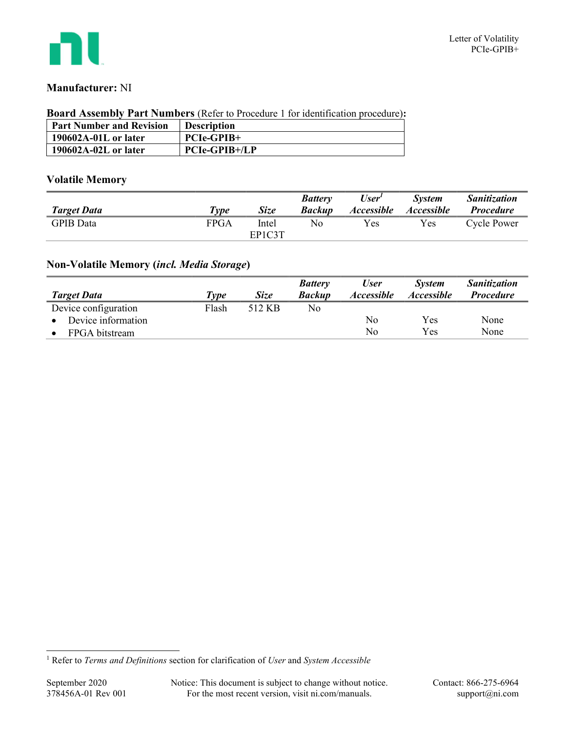

## Manufacturer: NI

#### Board Assembly Part Numbers (Refer to Procedure 1 for identification procedure):

| <b>Part Number and Revision</b> | <b>Description</b>   |
|---------------------------------|----------------------|
| $190602A-01L$ or later          | $PCIe-GPIB+$         |
| $190602A-02L$ or later          | <b>PCIe-GPIB+/LP</b> |

## Volatile Memory

|                    |                     |             | <b>Battery</b> | User <sup>1</sup> | <i>System</i>     | <b>Sanitization</b> |
|--------------------|---------------------|-------------|----------------|-------------------|-------------------|---------------------|
| <b>Target Data</b> | $\tau_{\nu \rho e}$ | <b>Size</b> | <b>Backup</b>  | <i>Accessible</i> | <i>Accessible</i> | <i>Procedure</i>    |
| <b>GPIB</b> Data   | FPGA                | Intel       | No             | Yes               | Yes               | Cycle Power         |
|                    |                     | EP1C3T      |                |                   |                   |                     |

# Non-Volatile Memory (incl. Media Storage)

|                      |       |             | <b>Battery</b> | <b>User</b>              | <b>System</b>            | <b>Sanitization</b> |
|----------------------|-------|-------------|----------------|--------------------------|--------------------------|---------------------|
| <b>Target Data</b>   | Type  | <i>Size</i> | <b>Backup</b>  | <i><b>Accessible</b></i> | <i><b>Accessible</b></i> | <b>Procedure</b>    |
| Device configuration | Flash | 512 KB      | No             |                          |                          |                     |
| Device information   |       |             |                | No                       | Yes                      | None                |
| FPGA bitstream       |       |             |                | No                       | Yes                      | None                |

<sup>&</sup>lt;sup>1</sup> Refer to *Terms and Definitions* section for clarification of *User* and *System Accessible*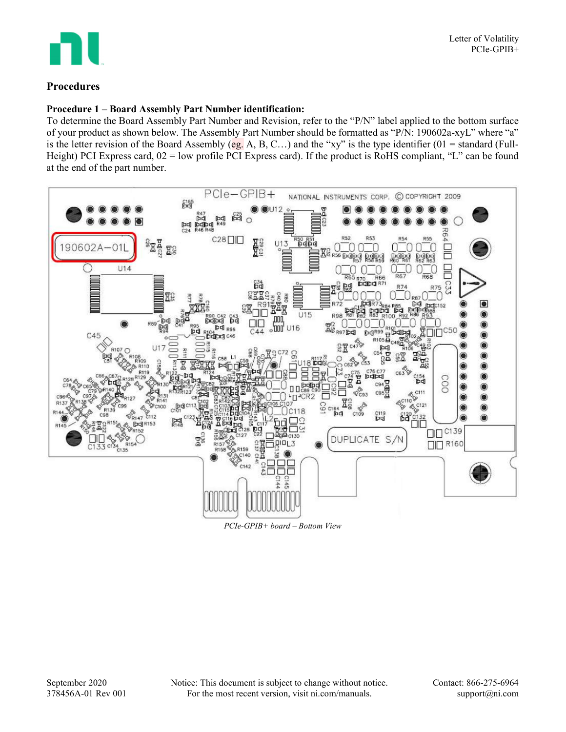

### Procedures

### Procedure 1 – Board Assembly Part Number identification:

To determine the Board Assembly Part Number and Revision, refer to the "P/N" label applied to the bottom surface of your product as shown below. The Assembly Part Number should be formatted as "P/N: 190602a-xyL" where "a" is the letter revision of the Board Assembly (eg. A, B, C…) and the "xy" is the type identifier (01 = standard (Full-Height) PCI Express card,  $02$  = low profile PCI Express card). If the product is RoHS compliant, "L" can be found at the end of the part number.



PCIe-GPIB+ board – Bottom View